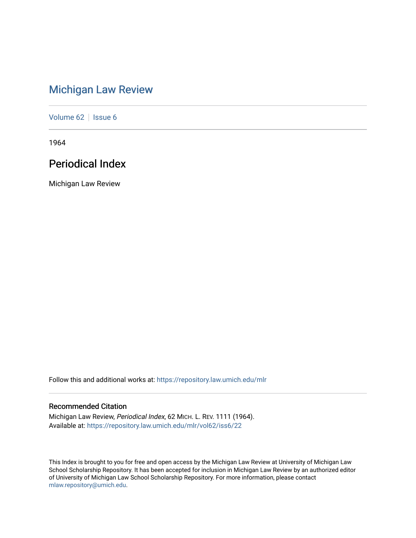# [Michigan Law Review](https://repository.law.umich.edu/mlr)

[Volume 62](https://repository.law.umich.edu/mlr/vol62) | [Issue 6](https://repository.law.umich.edu/mlr/vol62/iss6)

1964

# Periodical Index

Michigan Law Review

Follow this and additional works at: [https://repository.law.umich.edu/mlr](https://repository.law.umich.edu/mlr?utm_source=repository.law.umich.edu%2Fmlr%2Fvol62%2Fiss6%2F22&utm_medium=PDF&utm_campaign=PDFCoverPages) 

# Recommended Citation

Michigan Law Review, Periodical Index, 62 MICH. L. REV. 1111 (1964). Available at: [https://repository.law.umich.edu/mlr/vol62/iss6/22](https://repository.law.umich.edu/mlr/vol62/iss6/22?utm_source=repository.law.umich.edu%2Fmlr%2Fvol62%2Fiss6%2F22&utm_medium=PDF&utm_campaign=PDFCoverPages) 

This Index is brought to you for free and open access by the Michigan Law Review at University of Michigan Law School Scholarship Repository. It has been accepted for inclusion in Michigan Law Review by an authorized editor of University of Michigan Law School Scholarship Repository. For more information, please contact [mlaw.repository@umich.edu.](mailto:mlaw.repository@umich.edu)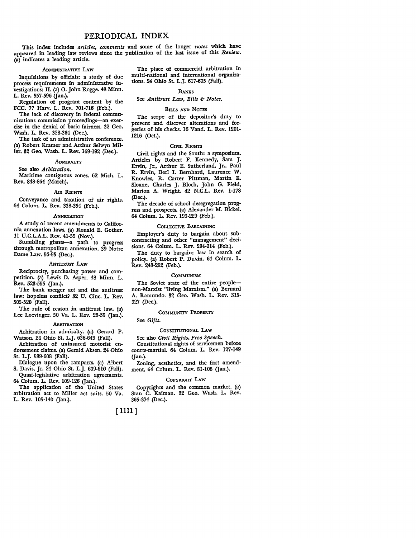## PERIODICAL INDEX

This index includes *articles, comments* and some of the longer *notes* which have appeared in leading law reviews since the publication of the last issue of this *Review.*  (a) indicates a leading article.

#### ADMINISTRATIVE LAW

Inquisitions by officials: a study of due process requirements in administrative investigations: II. (a) 0. John Rogge. 48 Minn. L. Rev. 557-596 (Jan.).

Regulation of program content by the FCC. 77 Harv. L. Rev. 701-716 (Feb.).

The lack of discovery in federal communications commission proceedings-an exercise in the denial of basic fairness. 32 Geo. Wash. L. Rev. 328-364 (Dec.).

The task of an administrative conference. (a) Robert Kramer and Arthur Selwyn Miller. 32 Geo. Wash. L. Rev. 169-192 (Dec.).

## ADMIRALTY

See also *Arbitration.*  Maritime contiguous zones. 62 Mich. L. Rev. 848-864 (March).

## Am RIGHTS

Conveyance and taxation of air rights. 64 Colum. L. Rev. 338-354 (Feb.).

## **ANNEXATION**

A study of recent amendments to California annexation laws. (a) Ronald E. Gother. II **U.C.L.A.L.** Rev. 41-55 (Nov.).

Stumbling giants-a path to progress through metropolitan annexation. 39 Notre Dame Law. 56-95 (Dec.).

## ANTITRUST LAW

Reciprocity, purchasing power and competition. (a) Lewis D. Asper. 48 Minn. L. Rev. 523-555 (Jan.).

The bank merger act and the antitrust law: hopeless conflict? 32 U. Cinc. L. Rev. 505-520 (Fall).

The rule of reason in antitrust law. (a) Lee Loevinger. 50 Va. L. Rev. 23-35 (Jan.).

## **ARBITRATION**

Arbitration in admiralty. (a) Gerard P. Watson. 24 Ohio St. L.J. 636-649 (Fall).

Arbitration of uninsured motorist endorsement claims. (a) Gerald Aksen. 24 Ohio St. L.J. 589-608 (Fall).

Dialogue upon the ramparts. (a) Albert S. Davis, Jr. 24 Ohio St. L.J. 609-616 (Fall). Quasi-legislative arbitration agreements.

64 Colum. L. Rev. 109-126 (Jan.).

The application of the United States arbitration act to Miller act suits. 50 Va. L. Rev. 105-140 (Jan.).

The place of commercial arbitration in multi-national and international organizations. 24 Ohio St. L.J. 617-635 (Fall).

#### **BANKS**

## See *Antitrust Law*, *Bills & Notes.*

## BILLS AND NOTES

The scope of the depositor's duty to prevent and discover alterations and forgeries of his checks. 16 Vand. L. Rev. 1201- 1216 (Oct.).

## CIVIL RIGHTS

Civil rights and the South: a symposium. Articles by Robert F. Kennedy, Sam J. Ervin, Jr., Arthur E. Sutherland, Jr., Paul R. Ervin, Berl I. Bernhard, Laurence W. Knowles, R. Carter Pittman, Martin E. Sloane, Charles J. Bloch, John G. Field, Marion A. Wright. 42 N.C.L. Rev. 1-178 (Dec.).

The decade of school desegregation progress and prospects. (a) Alexander M. Bickel. 64 Colum. L. Rev. 193-229 (Feb.).

## COLLECTIVE BARGAINING

Employer's duty to bargain about subcontracting and other "management" decisions. 64 Colum. L. Rev. 294-314 (Feb.).

The duty to bargain: law in search of policy. (a) Robert P. Duvin. 64 Colum. L. Rev. 248-292 (Feb.).

## **COMMUNISM**

The Soviet state of the entire peoplenon-Marxist "living Marxism." (a) Bernard A. Ramundo. 32 Geo. Wash. L. Rev. 315- 327 (Dec.).

## COMMUNITY PROPERTY

## See *Gifts.*

## CONSTITUTIONAL LAW

See also *Civil Rights, Free Speech.*  Constitutional rights of servicemen before courts-martial. 64 Colum. L. Rev. 127-149 ijan.).

Zoning, aesthetics, and the first amendment. 64 Colum. L. Rev. 81-108 (Jan.).

## CoPYRIGHT **LAw**

Copyrights and the common market. (a) Stan C. Kaiman. 32 Geo. Wash. L. Rev. 365-374 (Dec.).

## [ 1111]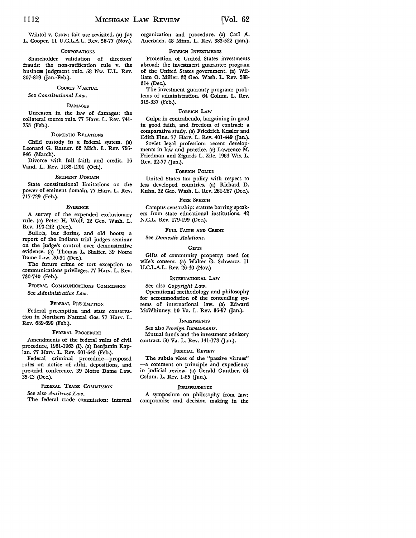Wihtol v. Crow: fair use revisited. (a) Jay L. Cooper. 11 U.C.L.A.L. Rev. 56-77 (Nov.).

#### **CORPORATIONS**

Shareholder validation of directors' frauds: the non-ratification rule v. the business judgment rule. 58 Nw. U.L. Rev. 807-819 (Jan.-Feb.).

## COURTS MARTIAL

## See *Constitutional Law.*

## DAMAGES

Unreason in the law of damages: the collateral source rule. 77 Harv. L. Rev. 741- 753 (Feb.).

## DOMESTIC RELATIONS

Child custody in a federal system. (a) Leonard G. Ratner. 62 Mich. L. Rev. 795- 846 (March).

Divorce with full faith and credit. 16 Vand. L. Rev. 1185-1201 (Oct.).

## EMINENT DOMAIN

State constitutional limitations on the power of eminent domain. 77 Harv. L. Rev. 717-729 (Feb.).

#### **EVIDENCE**

A survey of the expended exclusionary rule. (a) Peter H. Wolf. 32 Geo. Wash. L. Rev. 193-242 (Dec.).

Bullets, bar florins, and old boots: a report of the Indiana trial judges seminar on the judge's control over demonstrative evidence. (a) Thomas L. Shaffer. 39 Notre Dame Law. 20-34 (Dec.).

The future crime or tort exception to communications privileges. 77 Harv. L. Rev. 730-740 (Feb.).

FEDERAL COMMUNICATIONS COMMISSION See *Administrative Law.* 

#### FEDERAL PRE-EMPTION

Federal preemption and state conservation in Northern Natural Gas. 77 Harv. L. Rev. 689-699 (Feb.).

## FEDERAL PROCEDURE

Amendments of the federal rules of civil procedure, 1961-1963 (I). (a) Benjamin Kap• lan. 77 Harv. L. Rev. 601-643 (Feb.).

Federal criminal procedure-proposed rules on notice of alibi, depositions, and pre-trial conference. 39 Notre Dame Law. 35-43 (Dec.).

## FEDERAL TRADE COMMISSION

See also *Antitrust Law.* 

The federal trade commission: internal

organization and procedure. (a) Carl A. Auerbach. 48 Minn. L. Rev. 383-522 (Jan.).

#### FOREIGN INVESTMENTS

Protection of United States investments abroad: the investment guarantee program of the United States government. (a) William 0. Miller. 32 Geo. Wash. L. Rev. 288- 314 (Dec.).

The investment guaranty program: prob• lems of administration. 64 Colum. L. Rev. 315-337 (Feb.).

#### FoREIGN LAw

Culpa in contrahendo, bargaining in good in good faith, and freedom of contract: a comparative study. (a) Friedrich Kessler and Edith Fine. 77 Harv. L. Rev. 401-449 (Jan.). Soviet legal profession: recent develop• ments in law and practice. (a) Lawrence M. Friedman and Zigurds L. Zile. 1964 Wis. L. Rev. 32-77 (Jan.).

## FOREIGN POLICY

United States tax policy with respect to less developed countries. (a) Richard D. Kuhn. 32 Geo. Wash. L. Rev. 261-287 (Dec.).

## FREE SPEECH

Campus censorship: statute barring speakers from state educational institutions. 42 N.C.L. Rev. 179-199 (Dec.).

FULL FAITH AND CREDIT

## See *Domestic Relations.*

#### **GIFTS**

Gifts of community property: need for wife's consent. (a) Walter G. Schwartz. 11 U.C.L.A.L. Rev. 26-40 (Nov.)

## INTERNATIONAL LAW

See also *Copyright Law.*  Operational methodology and philosophy for accommodation of the contending **sys•**  tems of international law. (a) Edward McWhinney. 50 Va. L. Rev. 36-57 (Jan.).

#### **INVESTMENTS**

See also *Foreign Investments.*  Mutual funds and the investment advisory contract. 50 Va. L. Rev. 141-173 (Jan.).

#### JUDICIAL REvIEW

The subtle vices of the "passive virtues" -a comment on principle and expediency in judicial review. (a) Gerald Gunther. 64 Colum. L. Rev. 1-25 (Jan.).

## JURISPRUDENCE

A symposium on philosophy from law: compromise and decision making in the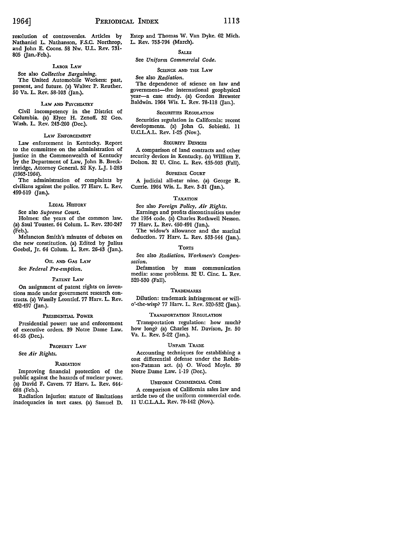resolution of controversies. Articles by Nathaniel L. Nathanson, F.S.C. Northrop, and John E. Coons. 58 Nw. U.L. Rev. 731- 805 (Jan.-Feb.).

## LABOR LAW

See also *Collective Bargaining.* 

The United Automobile Workers: past, present, and future. (a) Walter P. Reuther. 50 Va. L. Rev. 58-103 (Jan.).

## LAW AND PSYCHIATRY

Civil incompetency in the District of Columbia. (a) Elyce H. Zenoff. 32 Geo. Wash. L. Rev. 243-260 (Dec.).

## LAW ENFORCEMENT

Law enforcement in Kentucky. Report to the committee on the administration of justice in the Commonwealth of Kentucky by the Department of Law, John B. Breckinridge, Attorney General. 52 Ky. L.J. 1-263 (1963-1964).

The administration of complaints by civilians against the police. 77 Harv. L. Rev. 499-519 (Jan.).

## LEGAL HISTORY

See also *Supreme Court.* 

Holmes: the years of the common law. (a) Saul Touster. 64 Colum. L. Rev. 230-247 (Feb.).

Melancton Smith's minutes of debates on the new constitution. (a) Edited by Julius Goebel, Jr. 64 Colum. L. Rev. 26-43 (Jan.).

## OIL AND GAS LAw

See *Federal Pre-emption.* 

## PATENT LAw

On assignment of patent rights on inventions made under government research contracts. (a) Wassily Leontief. 77 Harv. L. Rev. 492-497 (Jan.).

## PRESIDENTIAL POWER

Presidential power: use and enforcement of executive orders. 39 Notre Dame Law. 44-55 (Dec.).

## PROPERTY LAW

See *Air Rights.* 

## RADIATION

Improving financial protection of the public against the hazards of nuclear power. (a) David F. Cavers. 77 Harv. L. Rev. 644° 688 (Feb.).

Radiation injuries: statute of limitations inadequacies in tort cases. (a) Samuel D. Estep and Thomas W. Van Dyke. 62 **Mich.**  L. Rev. 753-794 (March).

## **SALES**

## See *Uniform Commercial Code.*

## SCIENCE AND THE LAW

#### See also *Radiation.*

The dependence of science on law and government-the international geophysical year-a case study. (a) Gordon Brewster Baldwin. 1964 Wis. L. Rev. 78-118 (Jan.).

## SECURITIES REGULATION

Securities regulation in California: recent developments. (a) John G. Sobieski. 11 U.C.L.A.L. Rev. 1-25 (Nov.).

## SECURITY DEVICES

A comparison of land contracts and other security devices in Kentucky. (a) William F. Dolson. 32 U. Cine. L. Rev. 435-503 (Fall).

## SUPREME COURT

A judicial all-star nine. (a) George R. Currie. 1964 Wis. L. Rev. 3-31 (Jan.).

## TAXATION

See also *Foreign Policy, Air Rights.*  Earnings and profits discontinuities under the 1954 code. (a) Charles Rothwell Nesson. 77 Harv. L. Rev. 450-491 (Jan.).

The widow's allowance and the marital deduction. 77 Harv. L. Rev. 533-544 (Jan.).

## **TORTS**

See also *Radiation, Workmen's Compensation.* 

Defamation by mass communication media: some problems. 32 U. Cine. L. Rev. 520-530 (Fall).

## **TRADEMARKS**

Dilution: trademark infringement or willo'-the-wisp? 77 Harv. L. Rev. 520-532 (Jan.).

## TRANSPORTATION REGULATION

Transportation regulation: how much? how long? (a) Charles M. Davison, Jr. 50 Va. L. Rev. 5-22 (Jan.).

## UNFAIR TRADE

Accounting techniques for establishing a cost differential defense under the Robinson-Patman act. (a) 0. Wood Moyle. 39 Notre Dame Law. 1-19 (Dec.).

#### UNIFORM COMMERCIAL CODE

A comparison of California sales law and article two of the uniform commercial code. **11** U.C.L.A.L. Rev. 78-142 (Nov.).